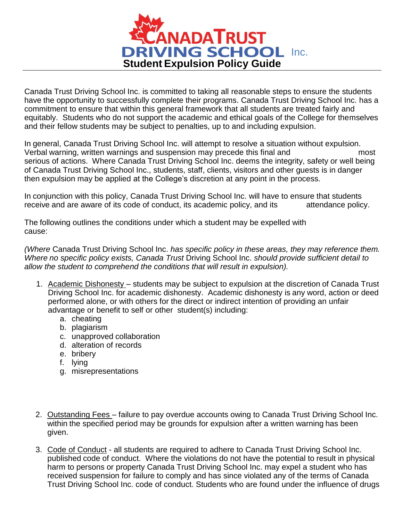

Canada Trust Driving School Inc. is committed to taking all reasonable steps to ensure the students have the opportunity to successfully complete their programs. Canada Trust Driving School Inc. has a commitment to ensure that within this general framework that all students are treated fairly and equitably. Students who do not support the academic and ethical goals of the College for themselves and their fellow students may be subject to penalties, up to and including expulsion.

In general, Canada Trust Driving School Inc. will attempt to resolve a situation without expulsion. Verbal warning, written warnings and suspension may precede this final and most serious of actions. Where Canada Trust Driving School Inc. deems the integrity, safety or well being of Canada Trust Driving School Inc., students, staff, clients, visitors and other guests is in danger then expulsion may be applied at the College's discretion at any point in the process.

In conjunction with this policy, Canada Trust Driving School Inc. will have to ensure that students receive and are aware of its code of conduct, its academic policy, and its attendance policy.

The following outlines the conditions under which a student may be expelled with cause:

*(Where* Canada Trust Driving School Inc. *has specific policy in these areas, they may reference them. Where no specific policy exists, Canada Trust* Driving School Inc. *should provide sufficient detail to allow the student to comprehend the conditions that will result in expulsion).*

- 1. Academic Dishonesty students may be subject to expulsion at the discretion of Canada Trust Driving School Inc. for academic dishonesty. Academic dishonesty is any word, action or deed performed alone, or with others for the direct or indirect intention of providing an unfair advantage or benefit to self or other student(s) including:
	- a. cheating
	- b. plagiarism
	- c. unapproved collaboration
	- d. alteration of records
	- e. bribery
	- f. lying
	- g. misrepresentations
- 2. Outstanding Fees failure to pay overdue accounts owing to Canada Trust Driving School Inc. within the specified period may be grounds for expulsion after a written warning has been given.
- 3. Code of Conduct all students are required to adhere to Canada Trust Driving School Inc. published code of conduct. Where the violations do not have the potential to result in physical harm to persons or property Canada Trust Driving School Inc. may expel a student who has received suspension for failure to comply and has since violated any of the terms of Canada Trust Driving School Inc. code of conduct. Students who are found under the influence of drugs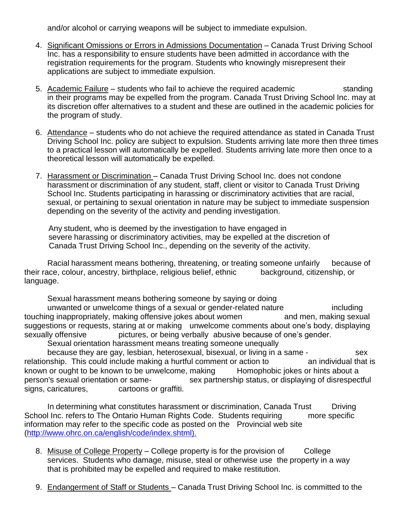and/or alcohol or carrying weapons will be subject to immediate expulsion.

- 4. Significant Omissions or Errors in Admissions Documentation Canada Trust Driving School Inc. has a responsibility to ensure students have been admitted in accordance with the registration requirements for the program. Students who knowingly misrepresent their applications are subject to immediate expulsion.
- 5. Academic Failure students who fail to achieve the required academic standing in their programs may be expelled from the program. Canada Trust Driving School Inc. may at its discretion offer alternatives to a student and these are outlined in the academic policies for the program of study.
- 6. Attendance students who do not achieve the required attendance as stated in Canada Trust Driving School Inc. policy are subject to expulsion. Students arriving late more then three times to a practical lesson will automatically be expelled. Students arriving late more then once to a theoretical lesson will automatically be expelled.
- 7. Harassment or Discrimination Canada Trust Driving School Inc. does not condone harassment or discrimination of any student, staff, client or visitor to Canada Trust Driving School Inc. Students participating in harassing or discriminatory activities that are racial, sexual, or pertaining to sexual orientation in nature may be subject to immediate suspension depending on the severity of the activity and pending investigation.

 Any student, who is deemed by the investigation to have engaged in severe harassing or discriminatory activities, may be expelled at the discretion of Canada Trust Driving School Inc., depending on the severity of the activity.

Racial harassment means bothering, threatening, or treating someone unfairly because of Racial Stefan and an e<br>Reference background, citizenship, or their race, colour, ancestry, birthplace, religious belief, ethnic language.

Sexual harassment means bothering someone by saying or doing

unwanted or unwelcome things of a sexual or gender-related nature including touching inappropriately, making offensive jokes about women and men, making sexual suggestions or requests, staring at or making unwelcome comments about one's body, displaying sexually offensive pictures, or being verbally abusive because of one's gender. Sexual orientation harassment means treating someone unequally

because they are gay, lesbian, heterosexual, bisexual, or living in a same - sex relationship. This could include making a hurtful comment or action to an individual that is known or ought to be known to be unwelcome, making Homophobic jokes or hints about a person's sexual orientation or same-<br>sex partnership status, or displaying of disrespectful signs, caricatures, cartoons or graffiti.

In determining what constitutes harassment or discrimination, Canada Trust Driving School Inc. refers to The Ontario Human Rights Code. Students requiring more specific information may refer to the specific code as posted on the Provincial web site [\(http://www.ohrc.on.ca/english/code/index.shtml\)](http://www.ohrc.on.ca/english/code/index.shtml).

- 8. Misuse of College Property College property is for the provision of College services. Students who damage, misuse, steal or otherwise use the property in a way that is prohibited may be expelled and required to make restitution.
- 9. Endangerment of Staff or Students Canada Trust Driving School Inc. is committed to the